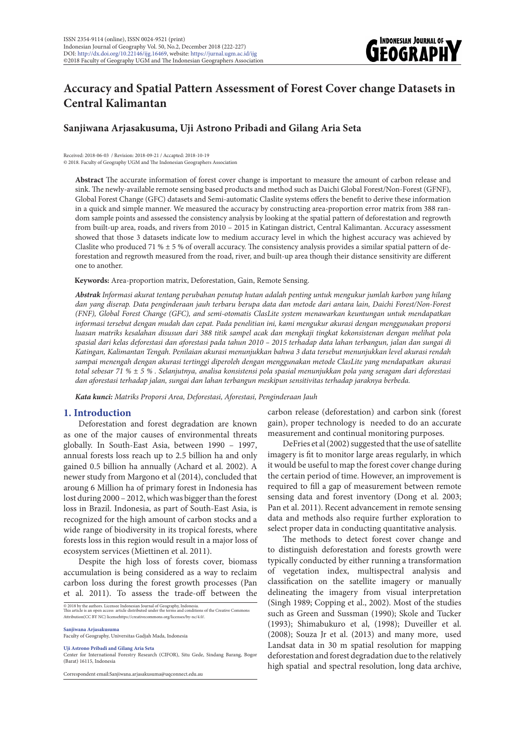

# **Accuracy and Spatial Pattern Assessment of Forest Cover change Datasets in Central Kalimantan**

# **Sanjiwana Arjasakusuma, Uji Astrono Pribadi and Gilang Aria Seta**

Received: 2018-06-03 / Revision: 2018-09-21 / Accapted: 2018-10-19 © 2018. Faculty of Geography UGM and The Indonesian Geographers Association

**Abstract** The accurate information of forest cover change is important to measure the amount of carbon release and sink. The newly-available remote sensing based products and method such as Daichi Global Forest/Non-Forest (GFNF), Global Forest Change (GFC) datasets and Semi-automatic Claslite systems offers the benefit to derive these information in a quick and simple manner. We measured the accuracy by constructing area-proportion error matrix from 388 random sample points and assessed the consistency analysis by looking at the spatial pattern of deforestation and regrowth from built-up area, roads, and rivers from 2010 – 2015 in Katingan district, Central Kalimantan. Accuracy assessment showed that those 3 datasets indicate low to medium accuracy level in which the highest accuracy was achieved by Claslite who produced 71 %  $\pm$  5 % of overall accuracy. The consistency analysis provides a similar spatial pattern of deforestation and regrowth measured from the road, river, and built-up area though their distance sensitivity are different one to another.

#### **Keywords:** Area-proportion matrix, Deforestation, Gain, Remote Sensing.

*Abstrak Informasi akurat tentang perubahan penutup hutan adalah penting untuk mengukur jumlah karbon yang hilang dan yang diserap. Data penginderaan jauh terbaru berupa data dan metode dari antara lain, Daichi Forest/Non-Forest (FNF), Global Forest Change (GFC), and semi-otomatis ClasLite system menawarkan keuntungan untuk mendapatkan informasi tersebut dengan mudah dan cepat. Pada penelitian ini, kami mengukur akurasi dengan menggunakan proporsi luasan matriks kesalahan disusun dari 388 titik sampel acak dan mengkaji tingkat kekonsistenan dengan melihat pola spasial dari kelas deforestasi dan aforestasi pada tahun 2010 – 2015 terhadap data lahan terbangun, jalan dan sungai di Katingan, Kalimantan Tengah. Penilaian akurasi menunjukkan bahwa 3 data tersebut menunjukkan level akurasi rendah sampai menengah dengan akurasi tertinggi diperoleh dengan menggunakan metode ClasLite yang mendapatkan akurasi total sebesar 71 % ± 5 % . Selanjutnya, analisa konsistensi pola spasial menunjukkan pola yang seragam dari deforestasi dan aforestasi terhadap jalan, sungai dan lahan terbangun meskipun sensitivitas terhadap jaraknya berbeda.*

*Kata kunci: Matriks Proporsi Area, Deforestasi, Aforestasi, Penginderaan Jauh*

# **1. Introduction**

Deforestation and forest degradation are known as one of the major causes of environmental threats globally. In South-East Asia, between 1990 – 1997, annual forests loss reach up to 2.5 billion ha and only gained 0.5 billion ha annually (Achard et al. 2002). A newer study from Margono et al (2014), concluded that aroung 6 Million ha of primary forest in Indonesia has lost during 2000 – 2012, which was bigger than the forest loss in Brazil. Indonesia, as part of South-East Asia, is recognized for the high amount of carbon stocks and a wide range of biodiversity in its tropical forests, where forests loss in this region would result in a major loss of ecosystem services (Miettinen et al. 2011).

Despite the high loss of forests cover, biomass accumulation is being considered as a way to reclaim carbon loss during the forest growth processes (Pan et al. 2011). To assess the trade-off between the

© 2018 by the authors. Licensee Indonesian Journal of Geography, Indonesia. This article is an open access article distributed under the terms and conditions of the Creative Commons Attribution(CC BY NC) licensehttps://creativecommons.org/licenses/by-nc/4.0/.

**Sanjiwana Arjasakusuma**

Faculty of Geography, Universitas Gadjah Mada, Indonesia

**Uji Astrono Pribadi and Gilang Aria Seta**

Correspondent email:Sanjiwana.arjasakusuma@uqconnect.edu.au

carbon release (deforestation) and carbon sink (forest gain), proper technology is needed to do an accurate measurement and continual monitoring purposes.

DeFries et al (2002) suggested that the use of satellite imagery is fit to monitor large areas regularly, in which it would be useful to map the forest cover change during the certain period of time. However, an improvement is required to fill a gap of measurement between remote sensing data and forest inventory (Dong et al. 2003; Pan et al. 2011). Recent advancement in remote sensing data and methods also require further exploration to select proper data in conducting quantitative analysis.

The methods to detect forest cover change and to distinguish deforestation and forests growth were typically conducted by either running a transformation of vegetation index, multispectral analysis and classification on the satellite imagery or manually delineating the imagery from visual interpretation (Singh 1989; Copping et al., 2002). Most of the studies such as Green and Sussman (1990); Skole and Tucker (1993); Shimabukuro et al, (1998); Duveiller et al. (2008); Souza Jr et al. (2013) and many more, used Landsat data in 30 m spatial resolution for mapping deforestation and forest degradation due to the relatively high spatial and spectral resolution, long data archive,

Center for International Forestry Research (CIFOR), Situ Gede, Sindang Barang, Bogor (Barat) 16115, Indonesia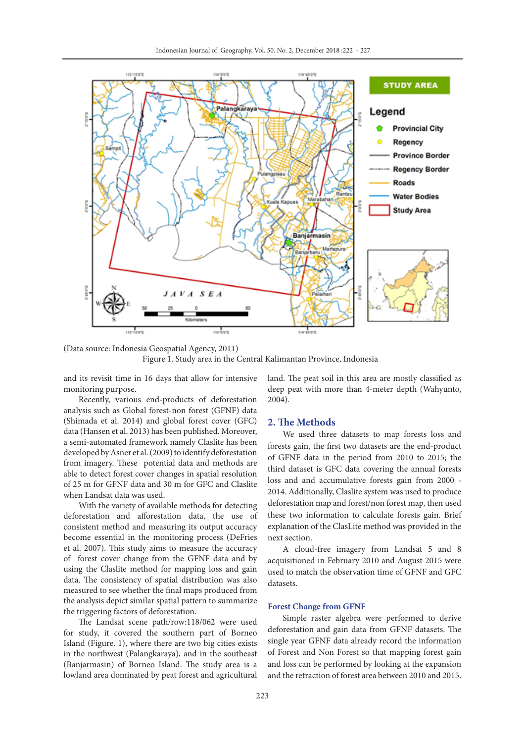

(Data source: Indonesia Geospatial Agency, 2011)

Figure 1. Study area in the Central Kalimantan Province, Indonesia

and its revisit time in 16 days that allow for intensive monitoring purpose.

Recently, various end-products of deforestation analysis such as Global forest-non forest (GFNF) data (Shimada et al. 2014) and global forest cover (GFC) data (Hansen et al. 2013) has been published. Moreover, a semi-automated framework namely Claslite has been developed by Asner et al. (2009) to identify deforestation from imagery. These potential data and methods are able to detect forest cover changes in spatial resolution of 25 m for GFNF data and 30 m for GFC and Claslite when Landsat data was used.

With the variety of available methods for detecting deforestation and afforestation data, the use of consistent method and measuring its output accuracy become essential in the monitoring process (DeFries et al. 2007). This study aims to measure the accuracy of forest cover change from the GFNF data and by using the Claslite method for mapping loss and gain data. The consistency of spatial distribution was also measured to see whether the final maps produced from the analysis depict similar spatial pattern to summarize the triggering factors of deforestation.

The Landsat scene path/row:118/062 were used for study, it covered the southern part of Borneo Island (Figure. 1), where there are two big cities exists in the northwest (Palangkaraya), and in the southeast (Banjarmasin) of Borneo Island. The study area is a lowland area dominated by peat forest and agricultural

land. The peat soil in this area are mostly classified as deep peat with more than 4-meter depth (Wahyunto, 2004).

# **2. The Methods**

We used three datasets to map forests loss and forests gain, the first two datasets are the end-product of GFNF data in the period from 2010 to 2015; the third dataset is GFC data covering the annual forests loss and and accumulative forests gain from 2000 - 2014. Additionally, Claslite system was used to produce deforestation map and forest/non forest map, then used these two information to calculate forests gain. Brief explanation of the ClasLite method was provided in the next section.

A cloud-free imagery from Landsat 5 and 8 acquisitioned in February 2010 and August 2015 were used to match the observation time of GFNF and GFC datasets.

### **Forest Change from GFNF**

Simple raster algebra were performed to derive deforestation and gain data from GFNF datasets. The single year GFNF data already record the information of Forest and Non Forest so that mapping forest gain and loss can be performed by looking at the expansion and the retraction of forest area between 2010 and 2015.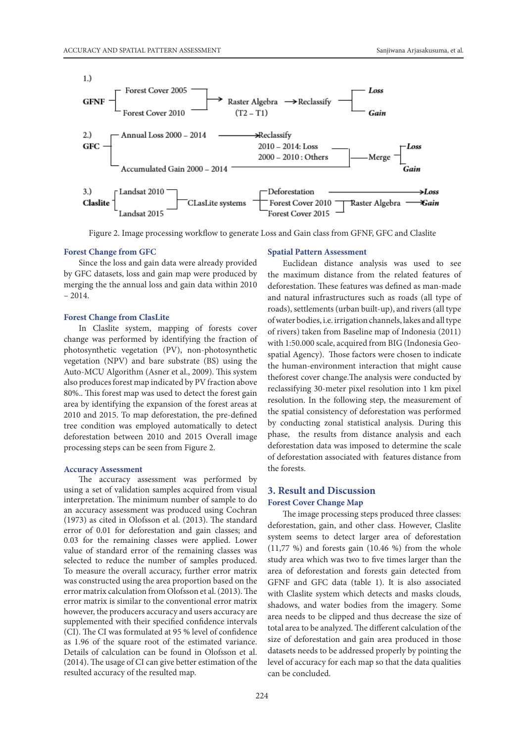

Figure 2. Image processing workflow to generate Loss and Gain class from GFNF, GFC and Claslite

#### **Forest Change from GFC**

Since the loss and gain data were already provided by GFC datasets, loss and gain map were produced by merging the the annual loss and gain data within 2010 – 2014.

### **Forest Change from ClasLite**

In Claslite system, mapping of forests cover change was performed by identifying the fraction of photosynthetic vegetation (PV), non-photosynthetic vegetation (NPV) and bare substrate (BS) using the Auto-MCU Algorithm (Asner et al., 2009). This system also produces forest map indicated by PV fraction above 80%.. This forest map was used to detect the forest gain area by identifying the expansion of the forest areas at 2010 and 2015. To map deforestation, the pre-defined tree condition was employed automatically to detect deforestation between 2010 and 2015 Overall image processing steps can be seen from Figure 2.

#### **Accuracy Assessment**

The accuracy assessment was performed by using a set of validation samples acquired from visual interpretation. The minimum number of sample to do an accuracy assessment was produced using Cochran (1973) as cited in Olofsson et al. (2013). The standard error of 0.01 for deforestation and gain classes; and 0.03 for the remaining classes were applied. Lower value of standard error of the remaining classes was selected to reduce the number of samples produced. To measure the overall accuracy, further error matrix was constructed using the area proportion based on the error matrix calculation from Olofsson et al. (2013). The error matrix is similar to the conventional error matrix however, the producers accuracy and users accuracy are supplemented with their specified confidence intervals (CI). The CI was formulated at 95 % level of confidence as 1.96 of the square root of the estimated variance. Details of calculation can be found in Olofsson et al. (2014). The usage of CI can give better estimation of the resulted accuracy of the resulted map.

#### **Spatial Pattern Assessment**

Euclidean distance analysis was used to see the maximum distance from the related features of deforestation. These features was defined as man-made and natural infrastructures such as roads (all type of roads), settlements (urban built-up), and rivers (all type of water bodies, i.e. irrigation channels, lakes and all type of rivers) taken from Baseline map of Indonesia (2011) with 1:50.000 scale, acquired from BIG (Indonesia Geospatial Agency). Those factors were chosen to indicate the human-environment interaction that might cause theforest cover change.The analysis were conducted by reclassifying 30-meter pixel resolution into 1 km pixel resolution. In the following step, the measurement of the spatial consistency of deforestation was performed by conducting zonal statistical analysis. During this phase, the results from distance analysis and each deforestation data was imposed to determine the scale of deforestation associated with features distance from the forests.

# **3. Result and Discussion Forest Cover Change Map**

The image processing steps produced three classes: deforestation, gain, and other class. However, Claslite system seems to detect larger area of deforestation (11,77 %) and forests gain (10.46 %) from the whole study area which was two to five times larger than the area of deforestation and forests gain detected from GFNF and GFC data (table 1). It is also associated with Claslite system which detects and masks clouds, shadows, and water bodies from the imagery. Some area needs to be clipped and thus decrease the size of total area to be analyzed. The different calculation of the size of deforestation and gain area produced in those datasets needs to be addressed properly by pointing the level of accuracy for each map so that the data qualities can be concluded.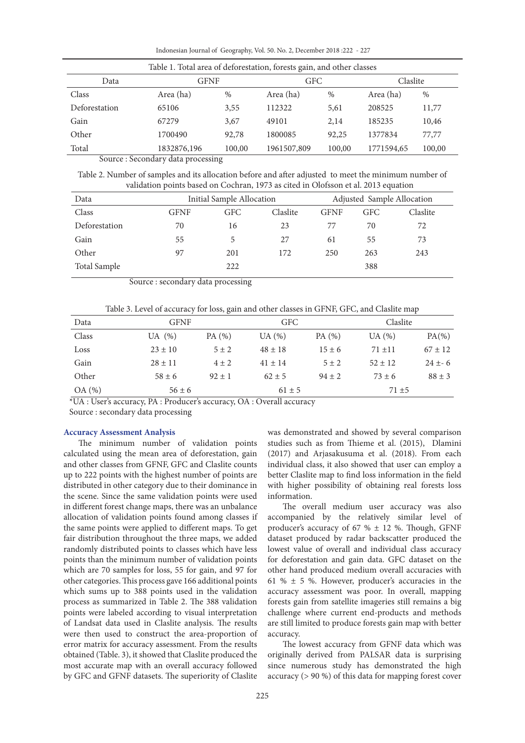Indonesian Journal of Geography, Vol. 50. No. 2, December 2018 :222 - 227

| Table 1. Total area of deforestation, forests gain, and other classes |             |        |             |        |            |        |
|-----------------------------------------------------------------------|-------------|--------|-------------|--------|------------|--------|
| Data                                                                  | GFNF        |        | GFC         |        | Claslite   |        |
| Class                                                                 | Area (ha)   | $\%$   | Area (ha)   | $\%$   | Area (ha)  | $\%$   |
| Deforestation                                                         | 65106       | 3,55   | 112322      | 5,61   | 208525     | 11,77  |
| Gain                                                                  | 67279       | 3,67   | 49101       | 2.14   | 185235     | 10,46  |
| Other                                                                 | 1700490     | 92,78  | 1800085     | 92,25  | 1377834    | 77,77  |
| Total                                                                 | 1832876,196 | 100,00 | 1961507,809 | 100,00 | 1771594,65 | 100,00 |

Source : Secondary data processing

Table 2. Number of samples and its allocation before and after adjusted to meet the minimum number of validation points based on Cochran, 1973 as cited in Olofsson et al. 2013 equation

| Data          | Initial Sample Allocation |     |          | Adjusted Sample Allocation |            |          |
|---------------|---------------------------|-----|----------|----------------------------|------------|----------|
| Class         | GFNF                      | GFC | Claslite | <b>GFNF</b>                | <b>GFC</b> | Claslite |
| Deforestation | 70                        | 16  | 23       | 77                         | 70         | 72       |
| Gain          | 55                        | 5   | 27       | 61                         | 55         | 73       |
| Other         | 97                        | 201 | 172      | 250                        | 263        | 243      |
| Total Sample  |                           | 222 |          |                            | 388        |          |

Source : secondary data processing

| Data  | <b>GFNF</b> |            |             | GFC.       |             | Claslite    |  |
|-------|-------------|------------|-------------|------------|-------------|-------------|--|
| Class | UA $(\%)$   | PA(%)      | UA(%)       | PA (%)     | UA(%)       | $PA(\% )$   |  |
| Loss  | $23 \pm 10$ | $5 \pm 2$  | $48 \pm 18$ | $15 \pm 6$ | $71 \pm 11$ | $67 \pm 12$ |  |
| Gain  | $28 \pm 11$ | $4 \pm 2$  | $41 \pm 14$ | $5 \pm 2$  | $52 \pm 12$ | $24 \pm 6$  |  |
| Other | $58 \pm 6$  | $92 \pm 1$ | $62 \pm 5$  | $94 \pm 2$ | $73 \pm 6$  | $88 \pm 3$  |  |
| OA(%) |             | $56 \pm 6$ |             | $61 \pm 5$ |             | $71 + 5$    |  |

\*UA : User's accuracy, PA : Producer's accuracy, OA : Overall accuracy

Source : secondary data processing

# **Accuracy Assessment Analysis**

The minimum number of validation points calculated using the mean area of deforestation, gain and other classes from GFNF, GFC and Claslite counts up to 222 points with the highest number of points are distributed in other category due to their dominance in the scene. Since the same validation points were used in different forest change maps, there was an unbalance allocation of validation points found among classes if the same points were applied to different maps. To get fair distribution throughout the three maps, we added randomly distributed points to classes which have less points than the minimum number of validation points which are 70 samples for loss, 55 for gain, and 97 for other categories. This process gave 166 additional points which sums up to 388 points used in the validation process as summarized in Table 2. The 388 validation points were labeled according to visual interpretation of Landsat data used in Claslite analysis. The results were then used to construct the area-proportion of error matrix for accuracy assessment. From the results obtained (Table. 3), it showed that Claslite produced the most accurate map with an overall accuracy followed by GFC and GFNF datasets. The superiority of Claslite

was demonstrated and showed by several comparison studies such as from Thieme et al. (2015), Dlamini (2017) and Arjasakusuma et al. (2018). From each individual class, it also showed that user can employ a better Claslite map to find loss information in the field with higher possibility of obtaining real forests loss information.

The overall medium user accuracy was also accompanied by the relatively similar level of producer's accuracy of 67 %  $\pm$  12 %. Though, GFNF dataset produced by radar backscatter produced the lowest value of overall and individual class accuracy for deforestation and gain data. GFC dataset on the other hand produced medium overall accuracies with 61 %  $\pm$  5 %. However, producer's accuracies in the accuracy assessment was poor. In overall, mapping forests gain from satellite imageries still remains a big challenge where current end-products and methods are still limited to produce forests gain map with better accuracy.

The lowest accuracy from GFNF data which was originally derived from PALSAR data is surprising since numerous study has demonstrated the high accuracy (> 90 %) of this data for mapping forest cover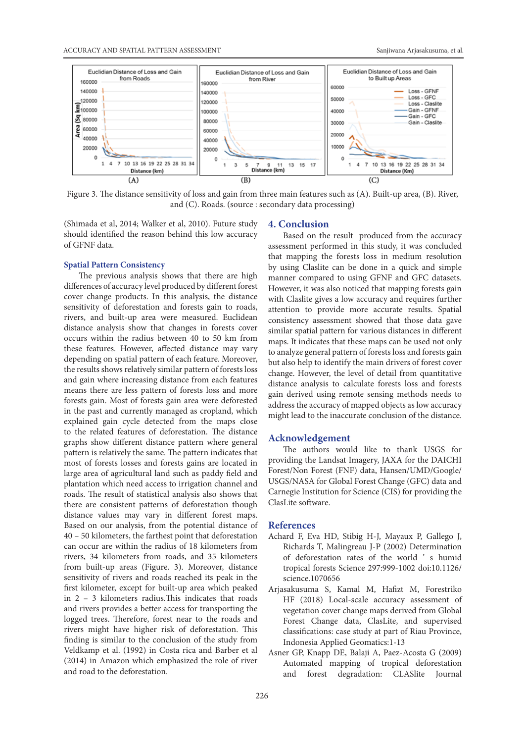

Figure 3. The distance sensitivity of loss and gain from three main features such as (A). Built-up area, (B). River, and (C). Roads. (source : secondary data processing)

(Shimada et al, 2014; Walker et al, 2010). Future study should identified the reason behind this low accuracy of GFNF data.

### **Spatial Pattern Consistency**

The previous analysis shows that there are high differences of accuracy level produced by different forest cover change products. In this analysis, the distance sensitivity of deforestation and forests gain to roads, rivers, and built-up area were measured. Euclidean distance analysis show that changes in forests cover occurs within the radius between 40 to 50 km from these features. However, affected distance may vary depending on spatial pattern of each feature. Moreover, the results shows relatively similar pattern of forests loss and gain where increasing distance from each features means there are less pattern of forests loss and more forests gain. Most of forests gain area were deforested in the past and currently managed as cropland, which explained gain cycle detected from the maps close to the related features of deforestation. The distance graphs show different distance pattern where general pattern is relatively the same. The pattern indicates that most of forests losses and forests gains are located in large area of agricultural land such as paddy field and plantation which need access to irrigation channel and roads. The result of statistical analysis also shows that there are consistent patterns of deforestation though distance values may vary in different forest maps. Based on our analysis, from the potential distance of 40 – 50 kilometers, the farthest point that deforestation can occur are within the radius of 18 kilometers from rivers, 34 kilometers from roads, and 35 kilometers from built-up areas (Figure. 3). Moreover, distance sensitivity of rivers and roads reached its peak in the first kilometer, except for built-up area which peaked in 2 – 3 kilometers radius.This indicates that roads and rivers provides a better access for transporting the logged trees. Therefore, forest near to the roads and rivers might have higher risk of deforestation. This finding is similar to the conclusion of the study from Veldkamp et al. (1992) in Costa rica and Barber et al (2014) in Amazon which emphasized the role of river and road to the deforestation.

# **4. Conclusion**

Based on the result produced from the accuracy assessment performed in this study, it was concluded that mapping the forests loss in medium resolution by using Claslite can be done in a quick and simple manner compared to using GFNF and GFC datasets. However, it was also noticed that mapping forests gain with Claslite gives a low accuracy and requires further attention to provide more accurate results. Spatial consistency assessment showed that those data gave similar spatial pattern for various distances in different maps. It indicates that these maps can be used not only to analyze general pattern of forests loss and forests gain but also help to identify the main drivers of forest cover change. However, the level of detail from quantitative distance analysis to calculate forests loss and forests gain derived using remote sensing methods needs to address the accuracy of mapped objects as low accuracy might lead to the inaccurate conclusion of the distance.

# **Acknowledgement**

The authors would like to thank USGS for providing the Landsat Imagery, JAXA for the DAICHI Forest/Non Forest (FNF) data, Hansen/UMD/Google/ USGS/NASA for Global Forest Change (GFC) data and Carnegie Institution for Science (CIS) for providing the ClasLite software.

# **References**

- Achard F, Eva HD, Stibig H-J, Mayaux P, Gallego J, Richards T, Malingreau J-P (2002) Determination of deforestation rates of the world ' s humid tropical forests Science 297:999-1002 doi:10.1126/ science.1070656
- Arjasakusuma S, Kamal M, Hafizt M, Forestriko HF (2018) Local-scale accuracy assessment of vegetation cover change maps derived from Global Forest Change data, ClasLite, and supervised classifications: case study at part of Riau Province, Indonesia Applied Geomatics:1-13
- Asner GP, Knapp DE, Balaji A, Paez-Acosta G (2009) Automated mapping of tropical deforestation and forest degradation: CLASlite Journal